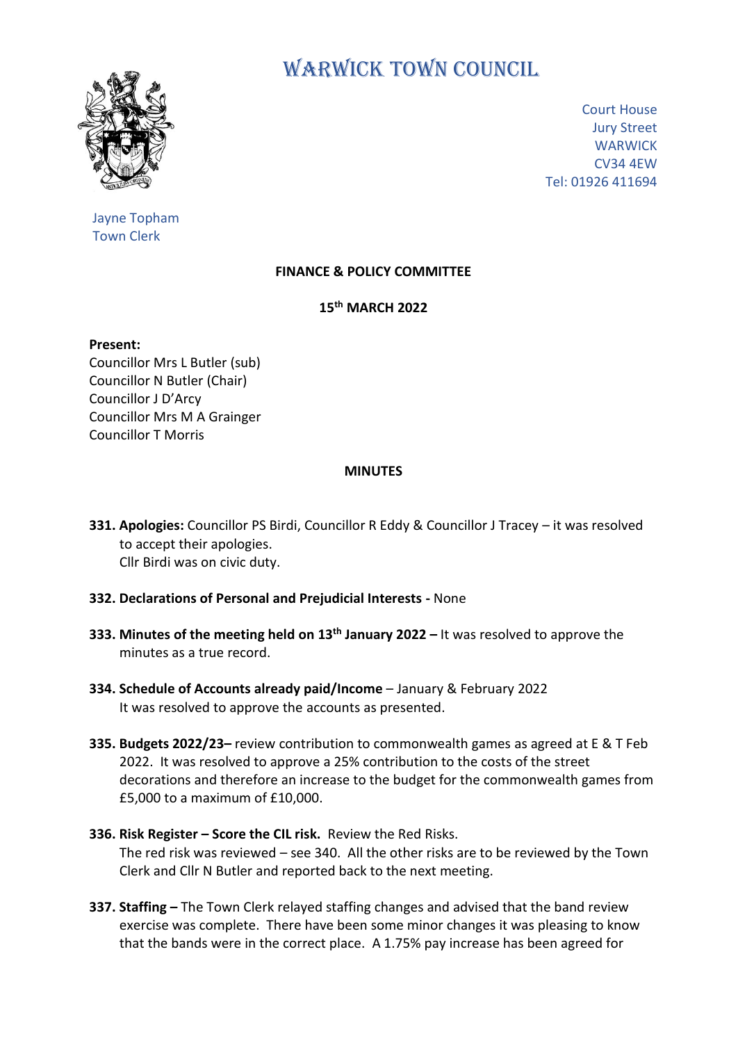

Jayne Topham Town Clerk

# WARWICK TOWN COUNCIL

Court House Jury Street **WARWICK** CV34 4EW Tel: 01926 411694

## **FINANCE & POLICY COMMITTEE**

## **15 th MARCH 2022**

**Present:** Councillor Mrs L Butler (sub) Councillor N Butler (Chair) Councillor J D'Arcy Councillor Mrs M A Grainger Councillor T Morris

#### **MINUTES**

- **331. Apologies:** Councillor PS Birdi, Councillor R Eddy & Councillor J Tracey it was resolved to accept their apologies. Cllr Birdi was on civic duty.
- **332. Declarations of Personal and Prejudicial Interests -** None
- **333. Minutes of the meeting held on 13th January 2022 –** It was resolved to approve the minutes as a true record.
- **334. Schedule of Accounts already paid/Income** January & February 2022 It was resolved to approve the accounts as presented.
- **335. Budgets 2022/23–** review contribution to commonwealth games as agreed at E & T Feb 2022. It was resolved to approve a 25% contribution to the costs of the street decorations and therefore an increase to the budget for the commonwealth games from £5,000 to a maximum of £10,000.
- **336. Risk Register – Score the CIL risk.** Review the Red Risks. The red risk was reviewed – see 340. All the other risks are to be reviewed by the Town Clerk and Cllr N Butler and reported back to the next meeting.
- **337. Staffing –** The Town Clerk relayed staffing changes and advised that the band review exercise was complete. There have been some minor changes it was pleasing to know that the bands were in the correct place. A 1.75% pay increase has been agreed for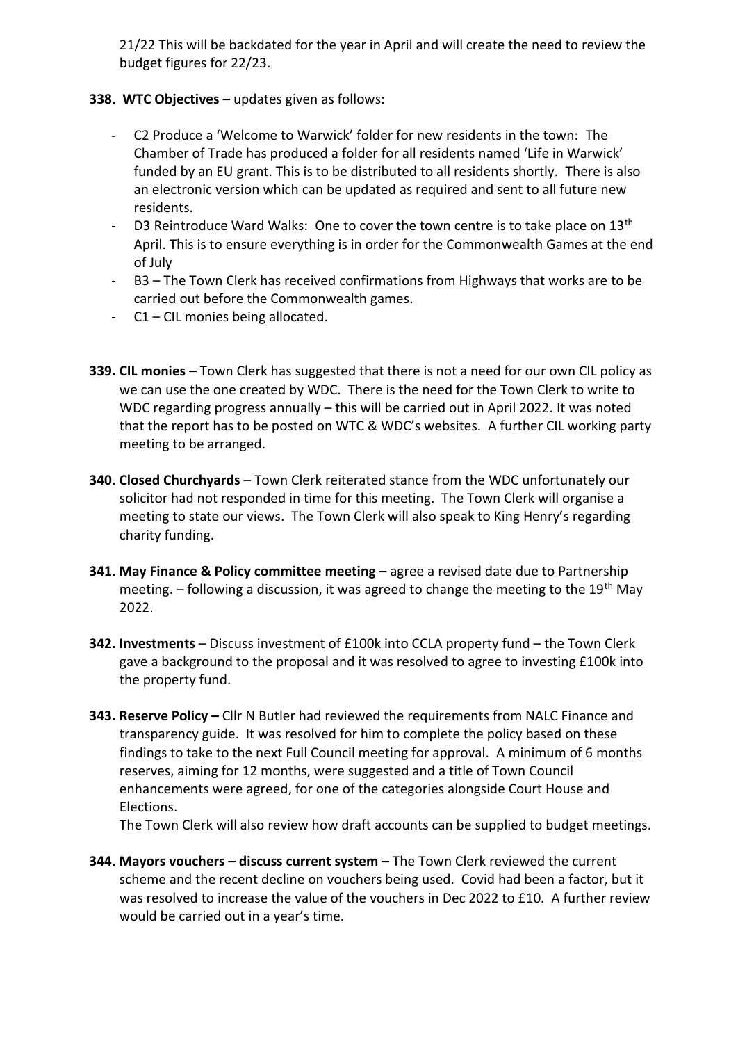21/22 This will be backdated for the year in April and will create the need to review the budget figures for 22/23.

### **338. WTC Objectives –** updates given as follows:

- C2 Produce a 'Welcome to Warwick' folder for new residents in the town: The Chamber of Trade has produced a folder for all residents named 'Life in Warwick' funded by an EU grant. This is to be distributed to all residents shortly. There is also an electronic version which can be updated as required and sent to all future new residents.
- D3 Reintroduce Ward Walks: One to cover the town centre is to take place on  $13<sup>th</sup>$ April. This is to ensure everything is in order for the Commonwealth Games at the end of July
- B3 The Town Clerk has received confirmations from Highways that works are to be carried out before the Commonwealth games.
- C1 CIL monies being allocated.
- **339. CIL monies –** Town Clerk has suggested that there is not a need for our own CIL policy as we can use the one created by WDC. There is the need for the Town Clerk to write to WDC regarding progress annually – this will be carried out in April 2022. It was noted that the report has to be posted on WTC & WDC's websites. A further CIL working party meeting to be arranged.
- **340. Closed Churchyards** Town Clerk reiterated stance from the WDC unfortunately our solicitor had not responded in time for this meeting. The Town Clerk will organise a meeting to state our views. The Town Clerk will also speak to King Henry's regarding charity funding.
- **341. May Finance & Policy committee meeting –** agree a revised date due to Partnership meeting.  $-$  following a discussion, it was agreed to change the meeting to the 19<sup>th</sup> May 2022.
- **342. Investments**  Discuss investment of £100k into CCLA property fund the Town Clerk gave a background to the proposal and it was resolved to agree to investing £100k into the property fund.
- **343. Reserve Policy –** Cllr N Butler had reviewed the requirements from NALC Finance and transparency guide. It was resolved for him to complete the policy based on these findings to take to the next Full Council meeting for approval. A minimum of 6 months reserves, aiming for 12 months, were suggested and a title of Town Council enhancements were agreed, for one of the categories alongside Court House and Elections.

The Town Clerk will also review how draft accounts can be supplied to budget meetings.

**344. Mayors vouchers – discuss current system –** The Town Clerk reviewed the current scheme and the recent decline on vouchers being used. Covid had been a factor, but it was resolved to increase the value of the vouchers in Dec 2022 to £10. A further review would be carried out in a year's time.